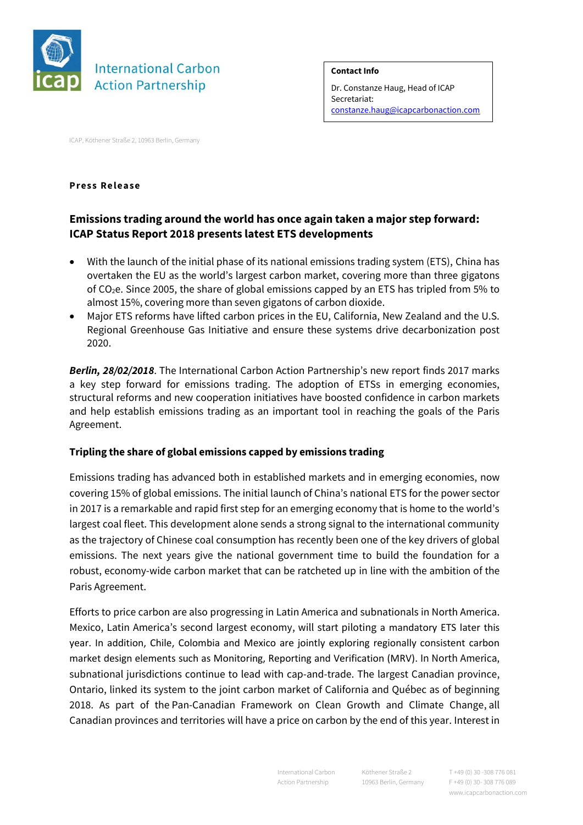

**Contact Info**

Dr. Constanze Haug, Head of ICAP Secretariat: [constanze.haug@icapcarbonaction.com](mailto:constanze.haug@icapcarbonaction.com)

ICAP, Köthener Straße 2, 10963 Berlin, Germany

## **Press Release**

## **Emissions trading around the world has once again taken a major step forward: ICAP Status Report 2018 presents latest ETS developments**

- With the launch of the initial phase of its national emissions trading system (ETS), China has overtaken the EU as the world's largest carbon market, covering more than three gigatons of CO2e. Since 2005, the share of global emissions capped by an ETS has tripled from 5% to almost 15%, covering more than seven gigatons of carbon dioxide.
- Major ETS reforms have lifted carbon prices in the EU, California, New Zealand and the U.S. Regional Greenhouse Gas Initiative and ensure these systems drive decarbonization post 2020.

*Berlin, 28/02/2018*. The International Carbon Action Partnership's new report finds 2017 marks a key step forward for emissions trading. The adoption of ETSs in emerging economies, structural reforms and new cooperation initiatives have boosted confidence in carbon markets and help establish emissions trading as an important tool in reaching the goals of the Paris Agreement.

## **Tripling the share of global emissions capped by emissions trading**

Emissions trading has advanced both in established markets and in emerging economies, now covering 15% of global emissions. The initial launch of China's national ETS for the power sector in 2017 is a remarkable and rapid first step for an emerging economy that is home to the world's largest coal fleet. This development alone sends a strong signal to the international community as the trajectory of Chinese coal consumption has recently been one of the key drivers of global emissions. The next years give the national government time to build the foundation for a robust, economy-wide carbon market that can be ratcheted up in line with the ambition of the Paris Agreement.

Efforts to price carbon are also progressing in Latin America and subnationals in North America. Mexico, Latin America's second largest economy, will start piloting a mandatory ETS later this year. In addition, Chile, Colombia and Mexico are jointly exploring regionally consistent carbon market design elements such as Monitoring, Reporting and Verification (MRV). In North America, subnational jurisdictions continue to lead with cap-and-trade. The largest Canadian province, Ontario, linked its system to the joint carbon market of California and Québec as of beginning 2018. As part of the Pan-Canadian Framework on Clean Growth and Climate Change, all Canadian provinces and territories will have a price on carbon by the end of this year. Interest in